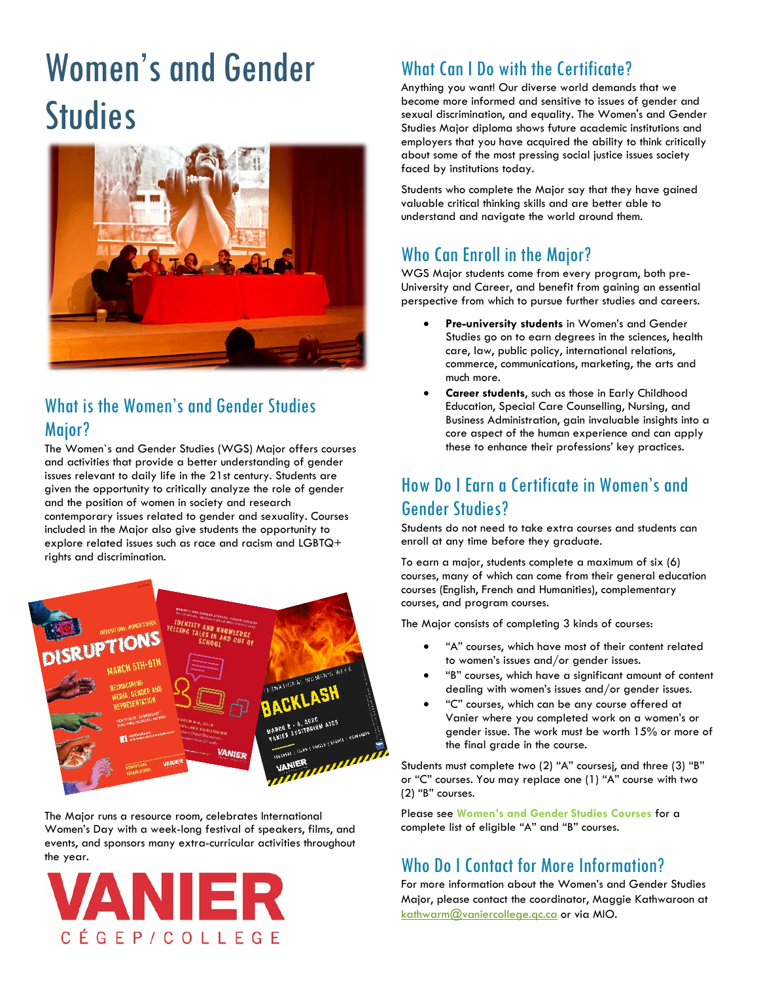# Women's and Gender **Studies**



# What is the Women's and Gender Studies Major?

The Women`s and Gender Studies (WGS) Major offers courses and activities that provide a better understanding of gender issues relevant to daily life in the 21st century. Students are given the opportunity to critically analyze the role of gender and the position of women in society and research contemporary issues related to gender and sexuality. Courses included in the Major also give students the opportunity to explore related issues such as race and racism and LGBTQ+ rights and discrimination.



The Major runs a resource room, celebrates International Women's Day with a week-long festival of speakers, films, and events, and sponsors many extra-curricular activities throughout the year.



# What Can I Do with the Certificate?

Anything you want! Our diverse world demands that we become more informed and sensitive to issues of gender and sexual discrimination, and equality. The Women's and Gender Studies Major diploma shows future academic institutions and employers that you have acquired the ability to think critically about some of the most pressing social justice issues society faced by institutions today.

Students who complete the Major say that they have gained valuable critical thinking skills and are better able to understand and navigate the world around them.

# Who Can Enroll in the Major?

WGS Major students come from every program, both pre-University and Career, and benefit from gaining an essential perspective from which to pursue further studies and careers.

- **Pre-university students** in Women's and Gender Studies go on to earn degrees in the sciences, health care, law, public policy, international relations, commerce, communications, marketing, the arts and much more.
- **Career students**, such as those in Early Childhood Education, Special Care Counselling, Nursing, and Business Administration, gain invaluable insights into a core aspect of the human experience and can apply these to enhance their professions' key practices.

# How Do I Earn a Certificate in Women's and Gender Studies?

Students do not need to take extra courses and students can enroll at any time before they graduate.

To earn a major, students complete a maximum of six (6) courses, many of which can come from their general education courses (English, French and Humanities), complementary courses, and program courses.

The Major consists of completing 3 kinds of courses:

- "A" courses, which have most of their content related to women's issues and/or gender issues.
- "B" courses, which have a significant amount of content dealing with women's issues and/or gender issues.
- "C" courses, which can be any course offered at Vanier where you completed work on a women's or gender issue. The work must be worth 15% or more of the final grade in the course.

Students must complete two (2) "A" coursesj, and three (3) "B" or "C" courses. You may replace one (1) "A" course with two (2) "B" courses.

Please see **[Women's and Gender Studies Courses](#page-1-0)** for a complete list of eligible "A" and "B" courses.

# Who Do I Contact for More Information?

For more information about the Women's and Gender Studies Major, please contact the coordinator, Maggie Kathwaroon at [kathwarm@vaniercollege.qc.ca](mailto:kathwarm@vaniercollege.qc.ca) or via MIO.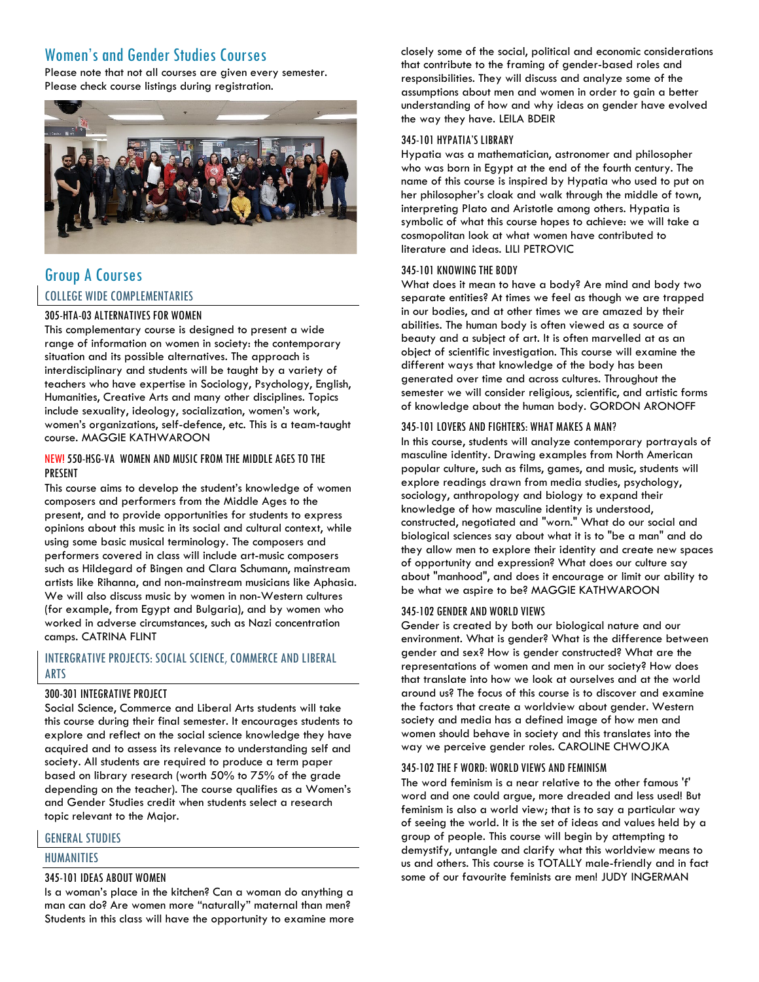# <span id="page-1-0"></span>Women's and Gender Studies Courses

Please note that not all courses are given every semester. Please check course listings during registration.



# Group A Courses COLLEGE WIDE COMPLEMENTARIES

## 305-HTA-03 ALTERNATIVES FOR WOMEN

This complementary course is designed to present a wide range of information on women in society: the contemporary situation and its possible alternatives. The approach is interdisciplinary and students will be taught by a variety of teachers who have expertise in Sociology, Psychology, English, Humanities, Creative Arts and many other disciplines. Topics include sexuality, ideology, socialization, women's work, women's organizations, self-defence, etc. This is a team-taught course. MAGGIE KATHWAROON

## NEW! 550-HSG-VA WOMEN AND MUSIC FROM THE MIDDLE AGES TO THE PRESENT

This course aims to develop the student's knowledge of women composers and performers from the Middle Ages to the present, and to provide opportunities for students to express opinions about this music in its social and cultural context, while using some basic musical terminology. The composers and performers covered in class will include art-music composers such as Hildegard of Bingen and Clara Schumann, mainstream artists like Rihanna, and non-mainstream musicians like Aphasia. We will also discuss music by women in non-Western cultures (for example, from Egypt and Bulgaria), and by women who worked in adverse circumstances, such as Nazi concentration camps. CATRINA FLINT

# INTERGRATIVE PROJECTS: SOCIAL SCIENCE, COMMERCE AND LIBERAL ARTS

#### 300-301 INTEGRATIVE PROJECT

Social Science, Commerce and Liberal Arts students will take this course during their final semester. It encourages students to explore and reflect on the social science knowledge they have acquired and to assess its relevance to understanding self and society. All students are required to produce a term paper based on library research (worth 50% to 75% of the grade depending on the teacher). The course qualifies as a Women's and Gender Studies credit when students select a research topic relevant to the Major.

# GENERAL STUDIES

#### HUMANITIES

# 345-101 IDEAS ABOUT WOMEN

Is a woman's place in the kitchen? Can a woman do anything a man can do? Are women more "naturally" maternal than men? Students in this class will have the opportunity to examine more

closely some of the social, political and economic considerations that contribute to the framing of gender-based roles and responsibilities. They will discuss and analyze some of the assumptions about men and women in order to gain a better understanding of how and why ideas on gender have evolved the way they have. LEILA BDEIR

## 345-101 HYPATIA'S LIBRARY

Hypatia was a mathematician, astronomer and philosopher who was born in Egypt at the end of the fourth century. The name of this course is inspired by Hypatia who used to put on her philosopher's cloak and walk through the middle of town, interpreting Plato and Aristotle among others. Hypatia is symbolic of what this course hopes to achieve: we will take a cosmopolitan look at what women have contributed to literature and ideas. LILI PETROVIC

## 345-101 KNOWING THE BODY

What does it mean to have a body? Are mind and body two separate entities? At times we feel as though we are trapped in our bodies, and at other times we are amazed by their abilities. The human body is often viewed as a source of beauty and a subject of art. It is often marvelled at as an object of scientific investigation. This course will examine the different ways that knowledge of the body has been generated over time and across cultures. Throughout the semester we will consider religious, scientific, and artistic forms of knowledge about the human body. GORDON ARONOFF

## 345-101 LOVERS AND FIGHTERS: WHAT MAKES A MAN?

In this course, students will analyze contemporary portrayals of masculine identity. Drawing examples from North American popular culture, such as films, games, and music, students will explore readings drawn from media studies, psychology, sociology, anthropology and biology to expand their knowledge of how masculine identity is understood, constructed, negotiated and "worn." What do our social and biological sciences say about what it is to "be a man" and do they allow men to explore their identity and create new spaces of opportunity and expression? What does our culture say about "manhood", and does it encourage or limit our ability to be what we aspire to be? MAGGIE KATHWAROON

#### 345-102 GENDER AND WORLD VIEWS

Gender is created by both our biological nature and our environment. What is gender? What is the difference between gender and sex? How is gender constructed? What are the representations of women and men in our society? How does that translate into how we look at ourselves and at the world around us? The focus of this course is to discover and examine the factors that create a worldview about gender. Western society and media has a defined image of how men and women should behave in society and this translates into the way we perceive gender roles. CAROLINE CHWOJKA

#### 345-102 THE F WORD: WORLD VIEWS AND FEMINISM

The word feminism is a near relative to the other famous 'f' word and one could argue, more dreaded and less used! But feminism is also a world view; that is to say a particular way of seeing the world. It is the set of ideas and values held by a group of people. This course will begin by attempting to demystify, untangle and clarify what this worldview means to us and others. This course is TOTALLY male-friendly and in fact some of our favourite feminists are men! JUDY INGERMAN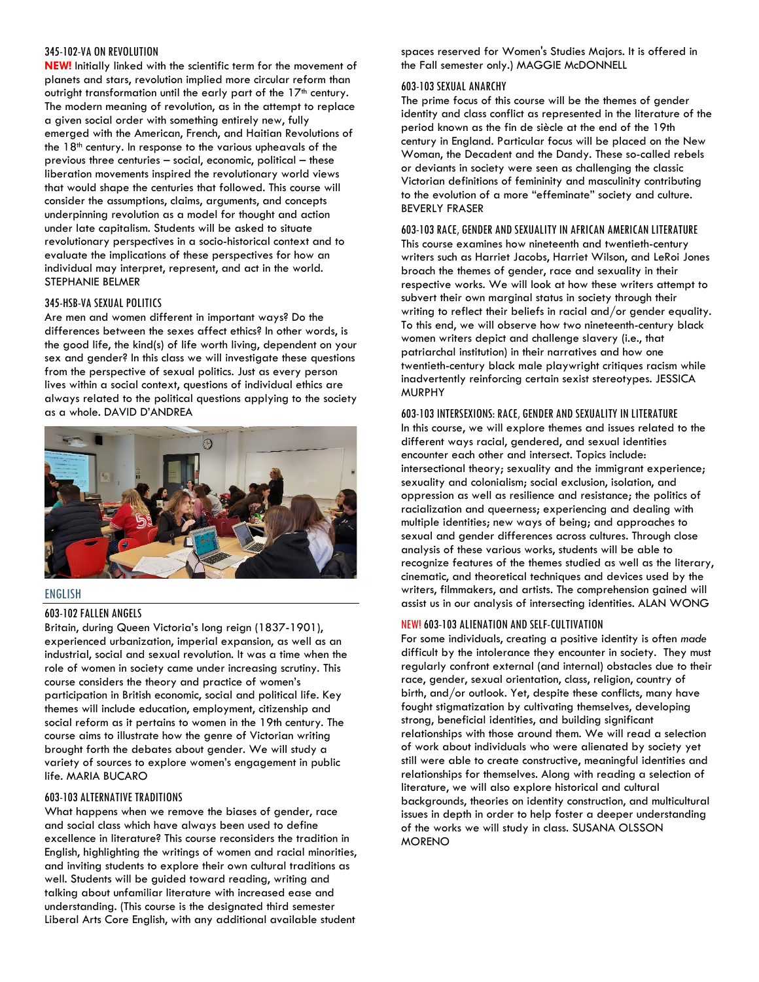#### 345-102-VA ON REVOLUTION

**NEW!** Initially linked with the scientific term for the movement of planets and stars, revolution implied more circular reform than outright transformation until the early part of the 17<sup>th</sup> century. The modern meaning of revolution, as in the attempt to replace a given social order with something entirely new, fully emerged with the American, French, and Haitian Revolutions of the  $18<sup>th</sup>$  century. In response to the various upheavals of the previous three centuries – social, economic, political – these liberation movements inspired the revolutionary world views that would shape the centuries that followed. This course will consider the assumptions, claims, arguments, and concepts underpinning revolution as a model for thought and action under late capitalism. Students will be asked to situate revolutionary perspectives in a socio-historical context and to evaluate the implications of these perspectives for how an individual may interpret, represent, and act in the world. STEPHANIE BELMER

#### 345-HSB-VA SEXUAL POLITICS

Are men and women different in important ways? Do the differences between the sexes affect ethics? In other words, is the good life, the kind(s) of life worth living, dependent on your sex and gender? In this class we will investigate these questions from the perspective of sexual politics. Just as every person lives within a social context, questions of individual ethics are always related to the political questions applying to the society as a whole. DAVID D'ANDREA



#### ENGLISH

#### 603-102 FALLEN ANGELS

Britain, during Queen Victoria's long reign (1837-1901), experienced urbanization, imperial expansion, as well as an industrial, social and sexual revolution. It was a time when the role of women in society came under increasing scrutiny. This course considers the theory and practice of women's participation in British economic, social and political life. Key themes will include education, employment, citizenship and social reform as it pertains to women in the 19th century. The course aims to illustrate how the genre of Victorian writing brought forth the debates about gender. We will study a variety of sources to explore women's engagement in public life. MARIA BUCARO

#### 603-103 ALTERNATIVE TRADITIONS

What happens when we remove the biases of gender, race and social class which have always been used to define excellence in literature? This course reconsiders the tradition in English, highlighting the writings of women and racial minorities, and inviting students to explore their own cultural traditions as well. Students will be guided toward reading, writing and talking about unfamiliar literature with increased ease and understanding. (This course is the designated third semester Liberal Arts Core English, with any additional available student

spaces reserved for Women's Studies Majors. It is offered in the Fall semester only.) MAGGIE McDONNELL

#### 603-103 SEXUAL ANARCHY

The prime focus of this course will be the themes of gender identity and class conflict as represented in the literature of the period known as the fin de siècle at the end of the 19th century in England. Particular focus will be placed on the New Woman, the Decadent and the Dandy. These so-called rebels or deviants in society were seen as challenging the classic Victorian definitions of femininity and masculinity contributing to the evolution of a more "effeminate" society and culture. BEVERLY FRASER

#### 603-103 RACE, GENDER AND SEXUALITY IN AFRICAN AMERICAN LITERATURE

This course examines how nineteenth and twentieth-century writers such as Harriet Jacobs, Harriet Wilson, and LeRoi Jones broach the themes of gender, race and sexuality in their respective works. We will look at how these writers attempt to subvert their own marginal status in society through their writing to reflect their beliefs in racial and/or gender equality. To this end, we will observe how two nineteenth-century black women writers depict and challenge slavery (i.e., that patriarchal institution) in their narratives and how one twentieth-century black male playwright critiques racism while inadvertently reinforcing certain sexist stereotypes. JESSICA MURPHY

#### 603-103 INTERSEXIONS: RACE, GENDER AND SEXUALITY IN LITERATURE

In this course, we will explore themes and issues related to the different ways racial, gendered, and sexual identities encounter each other and intersect. Topics include: intersectional theory; sexuality and the immigrant experience; sexuality and colonialism; social exclusion, isolation, and oppression as well as resilience and resistance; the politics of racialization and queerness; experiencing and dealing with multiple identities; new ways of being; and approaches to sexual and gender differences across cultures. Through close analysis of these various works, students will be able to recognize features of the themes studied as well as the literary, cinematic, and theoretical techniques and devices used by the writers, filmmakers, and artists. The comprehension gained will assist us in our analysis of intersecting identities. ALAN WONG

#### NEW! 603-103 ALIENATION AND SELF-CULTIVATION

For some individuals, creating a positive identity is often *made* difficult by the intolerance they encounter in society. They must regularly confront external (and internal) obstacles due to their race, gender, sexual orientation, class, religion, country of birth, and/or outlook. Yet, despite these conflicts, many have fought stigmatization by cultivating themselves, developing strong, beneficial identities, and building significant relationships with those around them. We will read a selection of work about individuals who were alienated by society yet still were able to create constructive, meaningful identities and relationships for themselves. Along with reading a selection of literature, we will also explore historical and cultural backgrounds, theories on identity construction, and multicultural issues in depth in order to help foster a deeper understanding of the works we will study in class. SUSANA OLSSON **MORENO**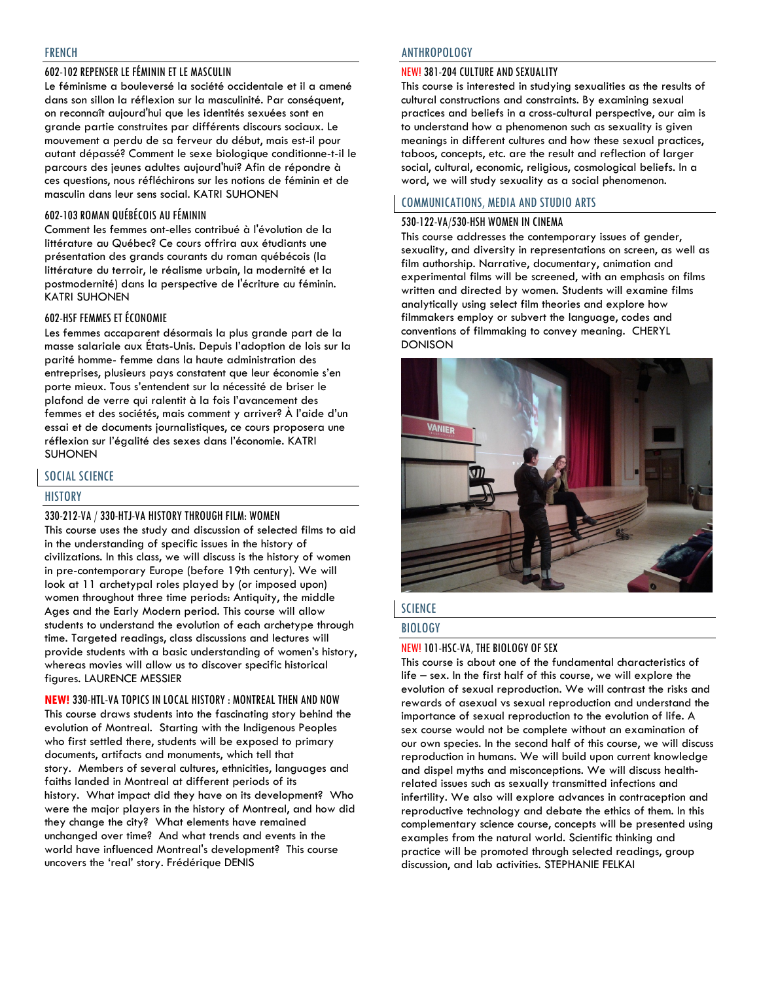# 602-102 REPENSER LE FÉMININ ET LE MASCULIN

Le féminisme a bouleversé la société occidentale et il a amené dans son sillon la réflexion sur la masculinité. Par conséquent, on reconnaît aujourd'hui que les identités sexuées sont en grande partie construites par différents discours sociaux. Le mouvement a perdu de sa ferveur du début, mais est-il pour autant dépassé? Comment le sexe biologique conditionne-t-il le parcours des jeunes adultes aujourd'hui? Afin de répondre à ces questions, nous réfléchirons sur les notions de féminin et de masculin dans leur sens social. KATRI SUHONEN

# 602-103 ROMAN QUÉBÉCOIS AU FÉMININ

Comment les femmes ont-elles contribué à l'évolution de la littérature au Québec? Ce cours offrira aux étudiants une présentation des grands courants du roman québécois (la littérature du terroir, le réalisme urbain, la modernité et la postmodernité) dans la perspective de l'écriture au féminin. KATRI SUHONEN

## 602-HSF FEMMES ET ÉCONOMIE

Les femmes accaparent désormais la plus grande part de la masse salariale aux États-Unis. Depuis l'adoption de lois sur la parité homme- femme dans la haute administration des entreprises, plusieurs pays constatent que leur économie s'en porte mieux. Tous s'entendent sur la nécessité de briser le plafond de verre qui ralentit à la fois l'avancement des femmes et des sociétés, mais comment y arriver? À l'aide d'un essai et de documents journalistiques, ce cours proposera une réflexion sur l'égalité des sexes dans l'économie. KATRI SUHONEN

# SOCIAL SCIENCE

#### HISTORY

# 330-212-VA / 330-HTJ-VA HISTORY THROUGH FILM: WOMEN

This course uses the study and discussion of selected films to aid in the understanding of specific issues in the history of civilizations. In this class, we will discuss is the history of women in pre-contemporary Europe (before 19th century). We will look at 11 archetypal roles played by (or imposed upon) women throughout three time periods: Antiquity, the middle Ages and the Early Modern period. This course will allow students to understand the evolution of each archetype through time. Targeted readings, class discussions and lectures will provide students with a basic understanding of women's history, whereas movies will allow us to discover specific historical figures. LAURENCE MESSIER

**NEW!** 330-HTL-VA TOPICS IN LOCAL HISTORY : MONTREAL THEN AND NOW This course draws students into the fascinating story behind the evolution of Montreal. Starting with the Indigenous Peoples who first settled there, students will be exposed to primary documents, artifacts and monuments, which tell that story. Members of several cultures, ethnicities, languages and faiths landed in Montreal at different periods of its history. What impact did they have on its development? Who were the major players in the history of Montreal, and how did they change the city? What elements have remained unchanged over time? And what trends and events in the world have influenced Montreal's development? This course uncovers the 'real' story. Frédérique DENIS

#### ANTHROPOLOGY

#### NEW! 381-204 CULTURE AND SEXUALITY

This course is interested in studying sexualities as the results of cultural constructions and constraints. By examining sexual practices and beliefs in a cross-cultural perspective, our aim is to understand how a phenomenon such as sexuality is given meanings in different cultures and how these sexual practices, taboos, concepts, etc. are the result and reflection of larger social, cultural, economic, religious, cosmological beliefs. In a word, we will study sexuality as a social phenomenon.

#### COMMUNICATIONS, MEDIA AND STUDIO ARTS

#### 530-122-VA/530-HSH WOMEN IN CINEMA

This course addresses the contemporary issues of gender, sexuality, and diversity in representations on screen, as well as film authorship. Narrative, documentary, animation and experimental films will be screened, with an emphasis on films written and directed by women. Students will examine films analytically using select film theories and explore how filmmakers employ or subvert the language, codes and conventions of filmmaking to convey meaning. CHERYL DONISON



# **SCIENCE**

## BIOLOGY

#### NEW! 101-HSC-VA, THE BIOLOGY OF SEX

This course is about one of the fundamental characteristics of life – sex. In the first half of this course, we will explore the evolution of sexual reproduction. We will contrast the risks and rewards of asexual vs sexual reproduction and understand the importance of sexual reproduction to the evolution of life. A sex course would not be complete without an examination of our own species. In the second half of this course, we will discuss reproduction in humans. We will build upon current knowledge and dispel myths and misconceptions. We will discuss healthrelated issues such as sexually transmitted infections and infertility. We also will explore advances in contraception and reproductive technology and debate the ethics of them. In this complementary science course, concepts will be presented using examples from the natural world. Scientific thinking and practice will be promoted through selected readings, group discussion, and lab activities. STEPHANIE FELKAI